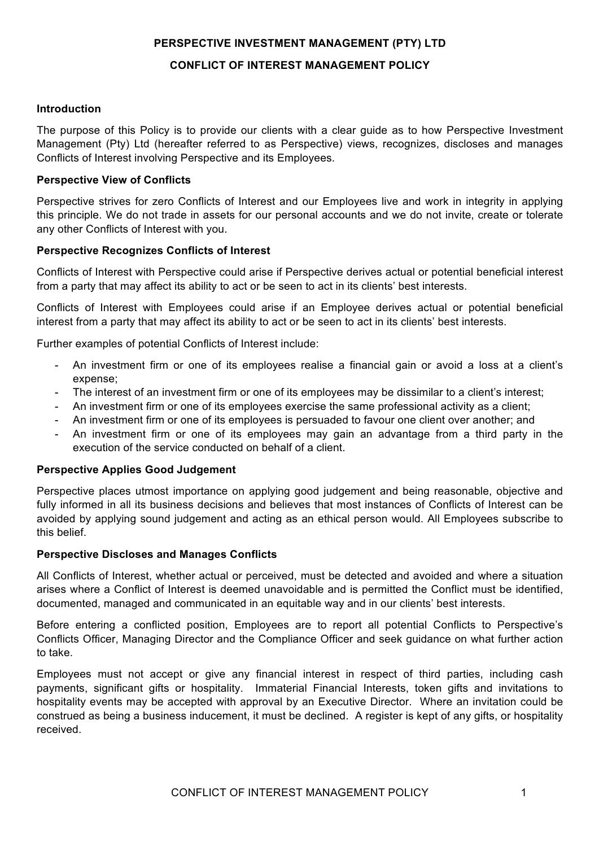# **PERSPECTIVE INVESTMENT MANAGEMENT (PTY) LTD**

# **CONFLICT OF INTEREST MANAGEMENT POLICY**

# **Introduction**

The purpose of this Policy is to provide our clients with a clear guide as to how Perspective Investment Management (Pty) Ltd (hereafter referred to as Perspective) views, recognizes, discloses and manages Conflicts of Interest involving Perspective and its Employees.

## **Perspective View of Conflicts**

Perspective strives for zero Conflicts of Interest and our Employees live and work in integrity in applying this principle. We do not trade in assets for our personal accounts and we do not invite, create or tolerate any other Conflicts of Interest with you.

## **Perspective Recognizes Conflicts of Interest**

Conflicts of Interest with Perspective could arise if Perspective derives actual or potential beneficial interest from a party that may affect its ability to act or be seen to act in its clients' best interests.

Conflicts of Interest with Employees could arise if an Employee derives actual or potential beneficial interest from a party that may affect its ability to act or be seen to act in its clients' best interests.

Further examples of potential Conflicts of Interest include:

- An investment firm or one of its employees realise a financial gain or avoid a loss at a client's expense;
- The interest of an investment firm or one of its employees may be dissimilar to a client's interest;
- An investment firm or one of its employees exercise the same professional activity as a client;
- An investment firm or one of its employees is persuaded to favour one client over another; and
- An investment firm or one of its employees may gain an advantage from a third party in the execution of the service conducted on behalf of a client.

### **Perspective Applies Good Judgement**

Perspective places utmost importance on applying good judgement and being reasonable, objective and fully informed in all its business decisions and believes that most instances of Conflicts of Interest can be avoided by applying sound judgement and acting as an ethical person would. All Employees subscribe to this belief.

### **Perspective Discloses and Manages Conflicts**

All Conflicts of Interest, whether actual or perceived, must be detected and avoided and where a situation arises where a Conflict of Interest is deemed unavoidable and is permitted the Conflict must be identified, documented, managed and communicated in an equitable way and in our clients' best interests.

Before entering a conflicted position, Employees are to report all potential Conflicts to Perspective's Conflicts Officer, Managing Director and the Compliance Officer and seek guidance on what further action to take.

Employees must not accept or give any financial interest in respect of third parties, including cash payments, significant gifts or hospitality. Immaterial Financial Interests, token gifts and invitations to hospitality events may be accepted with approval by an Executive Director. Where an invitation could be construed as being a business inducement, it must be declined. A register is kept of any gifts, or hospitality received.